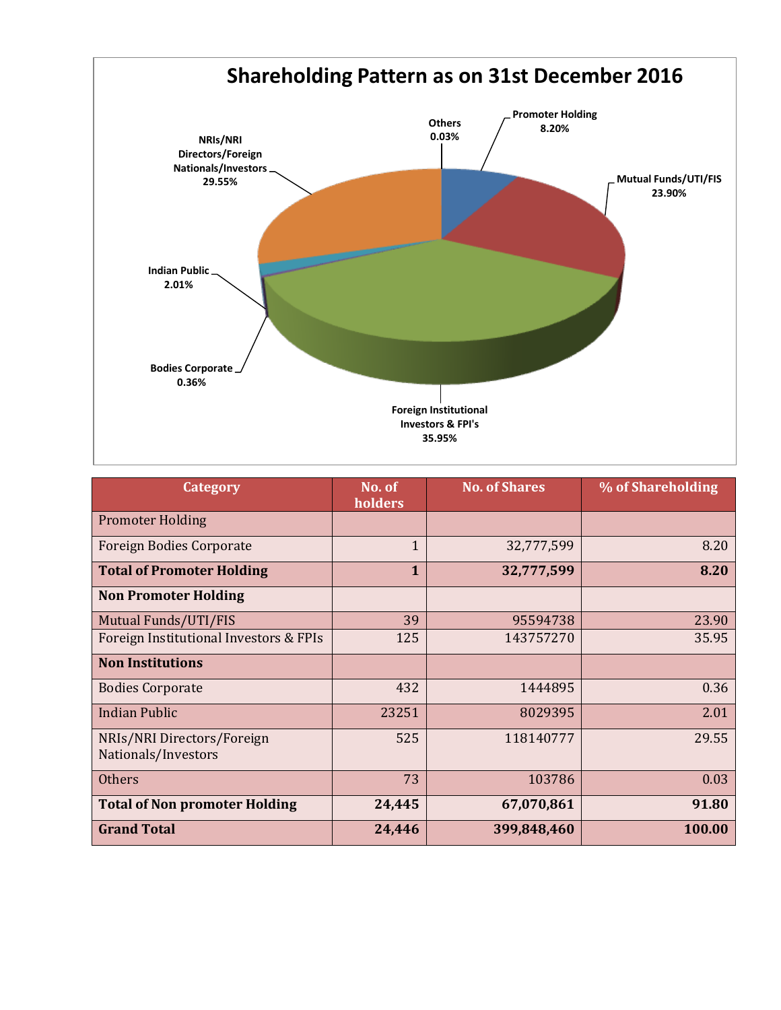

| <b>Category</b>                                   | No. of<br>holders | <b>No. of Shares</b> | % of Shareholding |
|---------------------------------------------------|-------------------|----------------------|-------------------|
| <b>Promoter Holding</b>                           |                   |                      |                   |
| <b>Foreign Bodies Corporate</b>                   | $\mathbf{1}$      | 32,777,599           | 8.20              |
| <b>Total of Promoter Holding</b>                  | 1                 | 32,777,599           | 8.20              |
| <b>Non Promoter Holding</b>                       |                   |                      |                   |
| Mutual Funds/UTI/FIS                              | 39                | 95594738             | 23.90             |
| Foreign Institutional Investors & FPIs            | 125               | 143757270            | 35.95             |
| <b>Non Institutions</b>                           |                   |                      |                   |
| <b>Bodies Corporate</b>                           | 432               | 1444895              | 0.36              |
| <b>Indian Public</b>                              | 23251             | 8029395              | 2.01              |
| NRIs/NRI Directors/Foreign<br>Nationals/Investors | 525               | 118140777            | 29.55             |
| <b>Others</b>                                     | 73                | 103786               | 0.03              |
| <b>Total of Non promoter Holding</b>              | 24,445            | 67,070,861           | 91.80             |
| <b>Grand Total</b>                                | 24,446            | 399,848,460          | 100.00            |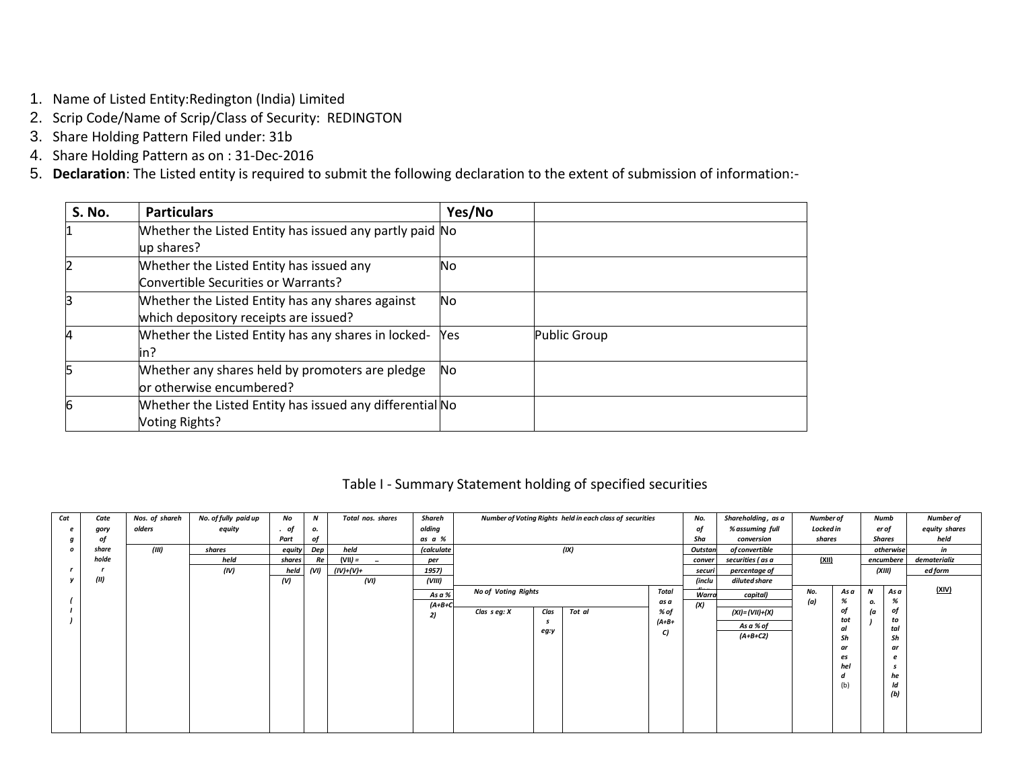- 1. Name of Listed Entity:Redington (India) Limited
- 2. Scrip Code/Name of Scrip/Class of Security: REDINGTON
- 3. Share Holding Pattern Filed under: 31b
- 4. Share Holding Pattern as on : 31-Dec-2016
- 5. **Declaration**: The Listed entity is required to submit the following declaration to the extent of submission of information:-

| <b>S. No.</b> | <b>Particulars</b>                                       | Yes/No |              |
|---------------|----------------------------------------------------------|--------|--------------|
|               | Whether the Listed Entity has issued any partly paid No  |        |              |
|               | up shares?                                               |        |              |
| 2             | Whether the Listed Entity has issued any                 | No     |              |
|               | Convertible Securities or Warrants?                      |        |              |
| 3             | Whether the Listed Entity has any shares against         | No     |              |
|               | which depository receipts are issued?                    |        |              |
| 4             | Whether the Listed Entity has any shares in locked-      | Yes    | Public Group |
|               | in?                                                      |        |              |
| 5             | Whether any shares held by promoters are pledge          | No.    |              |
|               | or otherwise encumbered?                                 |        |              |
| 6             | Whether the Listed Entity has issued any differential No |        |              |
|               | Voting Rights?                                           |        |              |

#### Table I - Summary Statement holding of specified securities

| Cat              | Cate  | Nos. of shareh | No. of fully paid up | No     | $\boldsymbol{N}$ | Total nos. shares | Shareh            |                            |      | Number of Voting Rights held in each class of securities |              | No.     | Shareholding, as a | Number of |           |       | Numb       | Number of     |
|------------------|-------|----------------|----------------------|--------|------------------|-------------------|-------------------|----------------------------|------|----------------------------------------------------------|--------------|---------|--------------------|-----------|-----------|-------|------------|---------------|
|                  | gory  | olders         | equity               | οf     | ο.               |                   | olding            |                            |      |                                                          |              | оf      | % assuming full    | Locked in |           | er of |            | equity shares |
|                  | 0j    |                |                      | Part   | of               |                   | as a %            |                            |      |                                                          |              | Sha     | conversion         | shares    |           |       | Shares     | held          |
| $\boldsymbol{0}$ | share | (III)          | shares               | equity | Dep              | held              | <i>(calculate</i> |                            |      | (IX)                                                     |              | Outstan | of convertible     |           |           |       | otherwise  | in            |
|                  | holde |                | held                 | shares | Re               | (VII) =<br>$\sim$ | per               |                            |      |                                                          |              | conver  | securities ( as a  | (XII)     |           |       | encumbere  | dematerializ  |
|                  |       |                | (IV)                 | held   | (VI)             | (IV)+(V)+         | 1957)             |                            |      |                                                          |              | securi  | percentage of      |           |           |       | (XIII)     | ed form       |
|                  | (II)  |                |                      | (V)    |                  | (VI)              | (VIII)            |                            |      |                                                          |              | (inclu  | diluted share      |           |           |       |            |               |
|                  |       |                |                      |        |                  |                   | As a %            | <b>No of Voting Rights</b> |      |                                                          | <b>Total</b> | Warra   | capital)           | No.       | As a      | N     | $-$ As $a$ | (XIV)         |
|                  |       |                |                      |        |                  |                   | $(A+B+C$          |                            |      |                                                          | as a         | (X)     |                    | (a)       | %         | ο.    | %          |               |
|                  |       |                |                      |        |                  |                   | 2)                | Clas $s$ eg: $X$           | Clas | Tot al                                                   | % of         |         | (XI)= (VII)+(X)    |           | Oj        | (a    | of         |               |
|                  |       |                |                      |        |                  |                   |                   |                            |      |                                                          | $(A+B+$      |         | As a % of          |           | tot       |       | to         |               |
|                  |       |                |                      |        |                  |                   |                   |                            | eg:y |                                                          | C)           |         | $(A+B+C2)$         |           | σl        |       | tal        |               |
|                  |       |                |                      |        |                  |                   |                   |                            |      |                                                          |              |         |                    |           | Sh        |       | Sh         |               |
|                  |       |                |                      |        |                  |                   |                   |                            |      |                                                          |              |         |                    |           | ar        |       | ar         |               |
|                  |       |                |                      |        |                  |                   |                   |                            |      |                                                          |              |         |                    |           | es<br>hel |       |            |               |
|                  |       |                |                      |        |                  |                   |                   |                            |      |                                                          |              |         |                    |           |           |       | he         |               |
|                  |       |                |                      |        |                  |                   |                   |                            |      |                                                          |              |         |                    |           | (b)       |       | ld         |               |
|                  |       |                |                      |        |                  |                   |                   |                            |      |                                                          |              |         |                    |           |           |       | (b)        |               |
|                  |       |                |                      |        |                  |                   |                   |                            |      |                                                          |              |         |                    |           |           |       |            |               |
|                  |       |                |                      |        |                  |                   |                   |                            |      |                                                          |              |         |                    |           |           |       |            |               |
|                  |       |                |                      |        |                  |                   |                   |                            |      |                                                          |              |         |                    |           |           |       |            |               |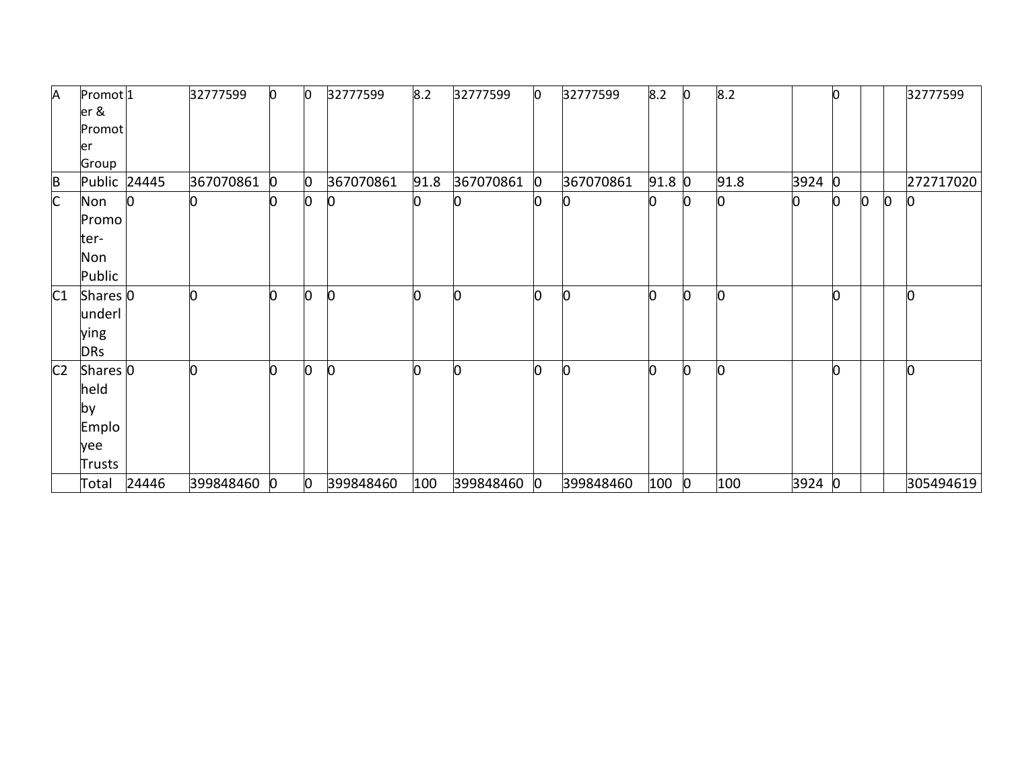| Α              | Promot <sup>1</sup> |       | 32777599    | $\mathbf{0}$ | Ю              | 32777599       | 8.2  | 32777599  | 0 | 32777599       | 8.2      | In.            | 8.2  |        |   |     |   | 32777599  |
|----------------|---------------------|-------|-------------|--------------|----------------|----------------|------|-----------|---|----------------|----------|----------------|------|--------|---|-----|---|-----------|
|                | er &                |       |             |              |                |                |      |           |   |                |          |                |      |        |   |     |   |           |
|                | Promot              |       |             |              |                |                |      |           |   |                |          |                |      |        |   |     |   |           |
|                | ler                 |       |             |              |                |                |      |           |   |                |          |                |      |        |   |     |   |           |
|                | Group               |       |             |              |                |                |      |           |   |                |          |                |      |        |   |     |   |           |
|                | Public 24445        |       | 367070861   | 0            | $\mathbf{0}$   | 367070861      | 91.8 | 367070861 | 0 | 367070861      | $91.8$ 0 |                | 91.8 | 3924   | O |     |   | 272717020 |
| $rac{B}{C}$    | Non                 |       |             |              | 0              | Ю              | 0    |           |   |                |          |                |      |        | 0 | lo. | 0 | Ю         |
|                | Promo               |       |             |              |                |                |      |           |   |                |          |                |      |        |   |     |   |           |
|                | ter-                |       |             |              |                |                |      |           |   |                |          |                |      |        |   |     |   |           |
|                | Non                 |       |             |              |                |                |      |           |   |                |          |                |      |        |   |     |   |           |
|                | Public              |       |             |              |                |                |      |           |   |                |          |                |      |        |   |     |   |           |
| C1             | Shares 0            |       |             |              | n              | $\overline{0}$ | n    | Ŋ         | U | n              |          | n              |      |        |   |     |   |           |
|                | underl              |       |             |              |                |                |      |           |   |                |          |                |      |        |   |     |   |           |
|                | ying                |       |             |              |                |                |      |           |   |                |          |                |      |        |   |     |   |           |
|                | <b>DRs</b>          |       |             |              |                |                |      |           |   |                |          |                |      |        |   |     |   |           |
| C <sub>2</sub> | Shares 0            |       |             |              | n              | 0              | n    | Ŋ         | U | $\overline{0}$ |          | ሰ              |      |        |   |     |   | n         |
|                | held                |       |             |              |                |                |      |           |   |                |          |                |      |        |   |     |   |           |
|                |                     |       |             |              |                |                |      |           |   |                |          |                |      |        |   |     |   |           |
|                | <b>by</b>           |       |             |              |                |                |      |           |   |                |          |                |      |        |   |     |   |           |
|                | Emplo               |       |             |              |                |                |      |           |   |                |          |                |      |        |   |     |   |           |
|                | yee                 |       |             |              |                |                |      |           |   |                |          |                |      |        |   |     |   |           |
|                | Trusts              |       |             |              |                |                |      |           |   |                |          |                |      |        |   |     |   |           |
|                | Total               | 24446 | 399848460 0 |              | $\overline{0}$ | 399848460      | 100  | 399848460 | 0 | 399848460      | 100      | $\overline{0}$ | 100  | 3924 0 |   |     |   | 305494619 |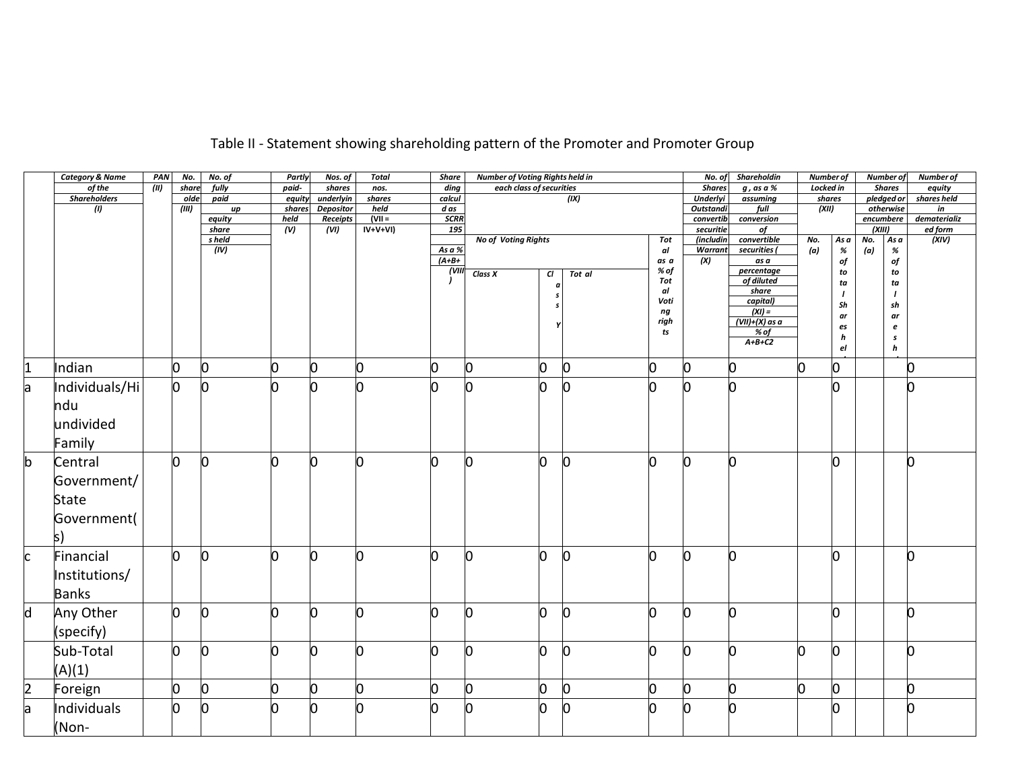|                | <b>Category &amp; Name</b> | PAN   | No.   | No. of          | Partly       | Nos. of                       | <b>Total</b>           | <b>Share</b>       | Number of Voting Rights held in |    |              |            | No. of                 | Shareholdin       | <b>Number of</b> |         |                     | <b>Number of</b>      | <b>Number of</b>        |
|----------------|----------------------------|-------|-------|-----------------|--------------|-------------------------------|------------------------|--------------------|---------------------------------|----|--------------|------------|------------------------|-------------------|------------------|---------|---------------------|-----------------------|-------------------------|
|                | of the                     | (III) | share | fully           | paid-        | shares                        | nos.                   | ding               | each class of securities        |    |              |            | <b>Shares</b>          | $g$ , as a $%$    | Locked in        |         |                     | <b>Shares</b>         | equity                  |
|                | <b>Shareholders</b>        |       | olde  | paid            | equity       | underlyin                     | shares                 | calcul             |                                 |    | (IX)         |            | <b>Underlyi</b>        | assuming          | shares           |         |                     | pledged or            | shares held             |
|                | (1)                        |       | (III) | $\mu$           | shares       | <b>Depositor</b>              | held                   | d as               |                                 |    |              |            | <b>Outstandi</b>       | full              | (XII)            |         |                     | otherwise             | in                      |
|                |                            |       |       | equity<br>share | held<br>(v)  | Receipts<br>$\overline{(VI)}$ | $(VII =$<br>$IV+V+VI)$ | <b>SCRR</b><br>195 |                                 |    |              |            | convertib<br>securitie | conversion<br>of  |                  |         | encumbere<br>(XIII) |                       | dematerializ<br>ed form |
|                |                            |       |       | s held          |              |                               |                        |                    | No of Voting Rights             |    |              | Tot        | (includin              | convertible       | No.              | As a    | No.                 | Asa                   | (XIV)                   |
|                |                            |       |       | (IV)            |              |                               |                        | As a %             |                                 |    |              | al         | <b>Warrant</b>         | securities (      | (a)              | %       | (a)                 | $\%$                  |                         |
|                |                            |       |       |                 |              |                               |                        | $(A+B+$            |                                 |    |              | as a       | (X)                    | as a              |                  | of      |                     | of                    |                         |
|                |                            |       |       |                 |              |                               |                        | (VII)              | Class X                         | CI | Tot al       | % of       |                        | percentage        |                  | to      |                     | to                    |                         |
|                |                            |       |       |                 |              |                               |                        |                    |                                 | a  |              | Tot        |                        | of diluted        |                  | ta      |                     | ta                    |                         |
|                |                            |       |       |                 |              |                               |                        |                    |                                 |    |              | al<br>Voti |                        | share<br>capital) |                  |         |                     | $\prime$              |                         |
|                |                            |       |       |                 |              |                               |                        |                    |                                 |    |              | ng         |                        | $(XI) =$          |                  | Sh      |                     | sh                    |                         |
|                |                            |       |       |                 |              |                               |                        |                    |                                 |    |              | righ       |                        | $(VII)+(X)$ as a  |                  | ar      |                     | ar                    |                         |
|                |                            |       |       |                 |              |                               |                        |                    |                                 |    |              | ts         |                        | % of              |                  | es<br>h |                     | e<br>$\boldsymbol{s}$ |                         |
|                |                            |       |       |                 |              |                               |                        |                    |                                 |    |              |            |                        | $A+B+C2$          |                  | el      |                     | $\mathbf h$           |                         |
|                |                            |       |       |                 |              |                               |                        |                    |                                 |    |              |            |                        |                   |                  |         |                     |                       |                         |
| $\mathbf{1}$   | Indian                     |       | 0     | 0               | Ю            | 0                             | 0                      | 0                  | n                               | 0  | 0            | 0          | Ŋ                      |                   | 0                | 0       |                     |                       | 0                       |
| a              | Individuals/Hi             |       | 0     | 0               |              | l0                            | n                      | n                  | n                               | 0  | 0            | O          | O                      | h                 |                  | n       |                     |                       | b                       |
|                | ndu                        |       |       |                 |              |                               |                        |                    |                                 |    |              |            |                        |                   |                  |         |                     |                       |                         |
|                | undivided                  |       |       |                 |              |                               |                        |                    |                                 |    |              |            |                        |                   |                  |         |                     |                       |                         |
|                | Family                     |       |       |                 |              |                               |                        |                    |                                 |    |              |            |                        |                   |                  |         |                     |                       |                         |
| $\mathsf b$    | Central                    |       | n     | Ŋ               | <sup>0</sup> | n                             | U                      | n                  | n                               | O. | O            | Ŋ          | O                      | n                 |                  | Ŋ       |                     |                       | 0                       |
|                | Government/                |       |       |                 |              |                               |                        |                    |                                 |    |              |            |                        |                   |                  |         |                     |                       |                         |
|                | State                      |       |       |                 |              |                               |                        |                    |                                 |    |              |            |                        |                   |                  |         |                     |                       |                         |
|                | Government(                |       |       |                 |              |                               |                        |                    |                                 |    |              |            |                        |                   |                  |         |                     |                       |                         |
|                |                            |       |       |                 |              |                               |                        |                    |                                 |    |              |            |                        |                   |                  |         |                     |                       |                         |
|                | S)                         |       |       |                 |              |                               |                        |                    |                                 |    |              |            |                        |                   |                  |         |                     |                       |                         |
| C.             | Financial                  |       | O     | ი               | <sup>0</sup> | n                             | n                      | n                  | n                               | n  | 0            | l0         | Ŋ                      | n                 |                  | n       |                     |                       | b                       |
|                | Institutions/              |       |       |                 |              |                               |                        |                    |                                 |    |              |            |                        |                   |                  |         |                     |                       |                         |
|                | <b>Banks</b>               |       |       |                 |              |                               |                        |                    |                                 |    |              |            |                        |                   |                  |         |                     |                       |                         |
| $\mathsf d$    | Any Other                  |       | O     | Ŋ               | n            | <sup>0</sup>                  | n                      | n                  |                                 | 0  | <sup>0</sup> | O          | 0                      | n                 |                  | n       |                     |                       | 0                       |
|                | (specify)                  |       |       |                 |              |                               |                        |                    |                                 |    |              |            |                        |                   |                  |         |                     |                       |                         |
|                | Sub-Total                  |       | 0     | Ŋ               | <sup>0</sup> | <sup>0</sup>                  | n                      | n                  | n                               | 0  | $\bf{0}$     | O          | b                      | n                 | b                | IO.     |                     |                       | O                       |
|                | (A)(1)                     |       |       |                 |              |                               |                        |                    |                                 |    |              |            |                        |                   |                  |         |                     |                       |                         |
| $\overline{2}$ | Foreign                    |       | O     | 0               | 0            | n.                            | 0                      | 0                  | n.                              | 0  | 0            | O          | O                      | n                 | O                | IO.     |                     |                       | 0                       |
| a              | Individuals                |       | 0     | 0               |              | n                             | n                      | n                  |                                 | n  | n            |            | Ŋ                      |                   |                  | Ю       |                     |                       | 0                       |
|                | (Non-                      |       |       |                 |              |                               |                        |                    |                                 |    |              |            |                        |                   |                  |         |                     |                       |                         |

# Table II - Statement showing shareholding pattern of the Promoter and Promoter Group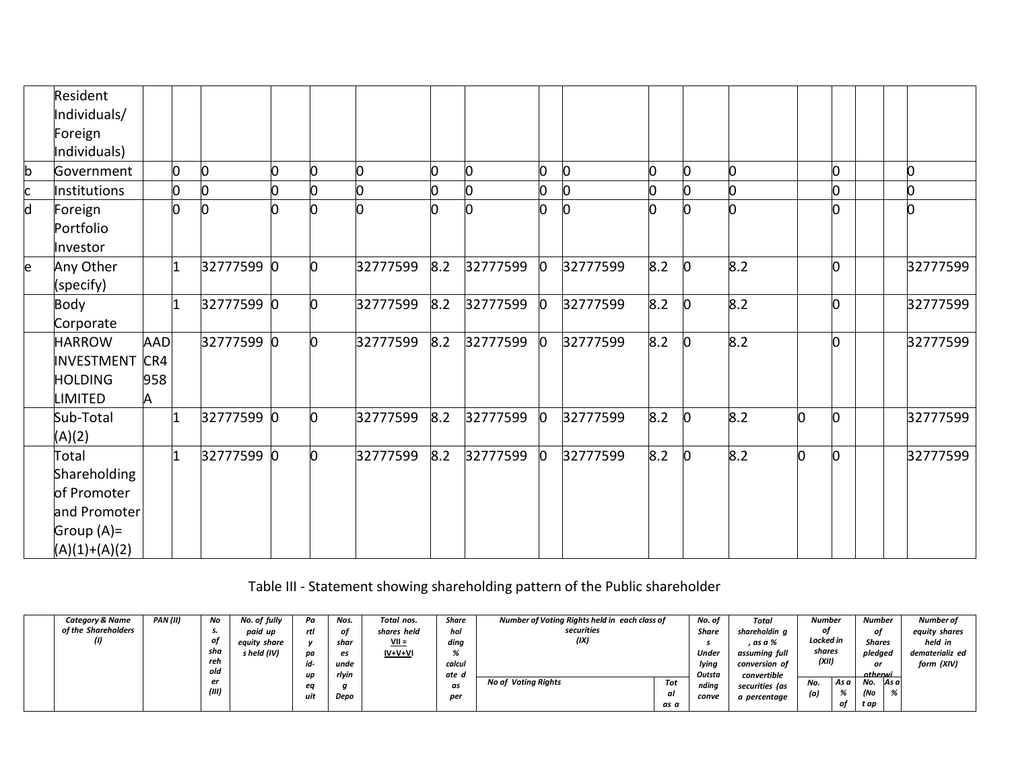|    | Resident<br>Individuals/<br>Foreign<br>Individuals)                                      |                               |              |                |     |          |     |          |              |          |     |    |     |   |   |   |          |
|----|------------------------------------------------------------------------------------------|-------------------------------|--------------|----------------|-----|----------|-----|----------|--------------|----------|-----|----|-----|---|---|---|----------|
| b  | Government                                                                               |                               | 0            | $\overline{0}$ |     |          | 0   | U        | 0            | n        |     | n  | n   |   | n | n |          |
| c  | Institutions                                                                             |                               | O            | 0              |     |          | 0   |          |              | n        |     |    |     |   |   |   |          |
| d  | Foreign<br>Portfolio<br>Investor                                                         |                               | ŋ            | l0             |     | n        | 0   |          | n.           | n        | n   |    | n   |   | n |   |          |
| le | Any Other<br>(specify)                                                                   |                               | $\mathbf{1}$ | 32777599 0     | IO. | 32777599 | 8.2 | 32777599 | $\mathbf{0}$ | 32777599 | 8.2 | O. | 8.2 |   | n |   | 32777599 |
|    | Body<br>Corporate                                                                        |                               | 1            | 32777599 0     | O.  | 32777599 | 8.2 | 32777599 | $\mathbf{0}$ | 32777599 | 8.2 | O. | 8.2 |   | n |   | 32777599 |
|    | <b>HARROW</b><br><b>INVESTMENT</b><br><b>HOLDING</b><br><b>LIMITED</b>                   | <b>AAD</b><br>CR4<br>958<br>A |              | 32777599 0     | n   | 32777599 | 8.2 | 32777599 | $\mathbf{0}$ | 32777599 | 8.2 | n. | 8.2 |   |   |   | 32777599 |
|    | Sub-Total<br>(A)(2)                                                                      |                               | $\vert$ 1    | 32777599 0     | IO. | 32777599 | 8.2 | 32777599 | $\mathbf{0}$ | 32777599 | 8.2 | 0  | 8.2 | h | n |   | 32777599 |
|    | Total<br>Shareholding<br>of Promoter<br>and Promoter<br>Group $(A)$ =<br>$(A)(1)+(A)(2)$ |                               | 1            | 32777599 0     | n   | 32777599 | 8.2 | 32777599 | $\mathbf{0}$ | 32777599 | 8.2 | 0  | 8.2 | n |   |   | 32777599 |

Table III - Statement showing shareholding pattern of the Public shareholder

| <b>Category &amp; Name</b> | PAN (II) | No    | No. of fully | Pa  | Nos.  | Total nos.      | Share  | Number of Voting Rights held in each class of |      | No. of       | Total          | <b>Number</b> |                | <b>Number</b> | Number of       |
|----------------------------|----------|-------|--------------|-----|-------|-----------------|--------|-----------------------------------------------|------|--------------|----------------|---------------|----------------|---------------|-----------------|
| of the Shareholders        |          |       | paid up      | rtl | οt    | shares held     | hol    | securities                                    |      | Share        | shareholdin a  |               |                | nt            | equity shares   |
|                            |          |       | equity share |     | shar  | <u>VII =</u>    | ding   | (IX)                                          |      |              | . as a %       | Locked in     |                | <b>Shares</b> | held in         |
|                            |          | sha   | s held (IV)  | pa  | es    | <u>IV+V+V</u> I | 70     |                                               |      | <b>Under</b> | assuming full  | shares        |                | pledgea       | dematerializ ed |
|                            |          | reh   |              | id- | unde  |                 | calcul |                                               |      | lying        | conversion of  | (XII)         |                | or            | form (XIV)      |
|                            |          | old   |              | up  | rlyin |                 | ate d  |                                               |      | Outsta       | convertible    |               |                | otherwi       |                 |
|                            |          | er    |              |     |       |                 | as     | <b>No of Voting Rights</b>                    | Tot  | ndina        | securities (as | No.           | As a           | No.           | As a            |
|                            |          | (III) |              | uit | Depo  |                 | per    |                                               | al   | conve        | a percentage   | lal           | $\overline{a}$ | (No           | $\alpha$        |
|                            |          |       |              |     |       |                 |        |                                               | as a |              |                |               | of             | t ap          |                 |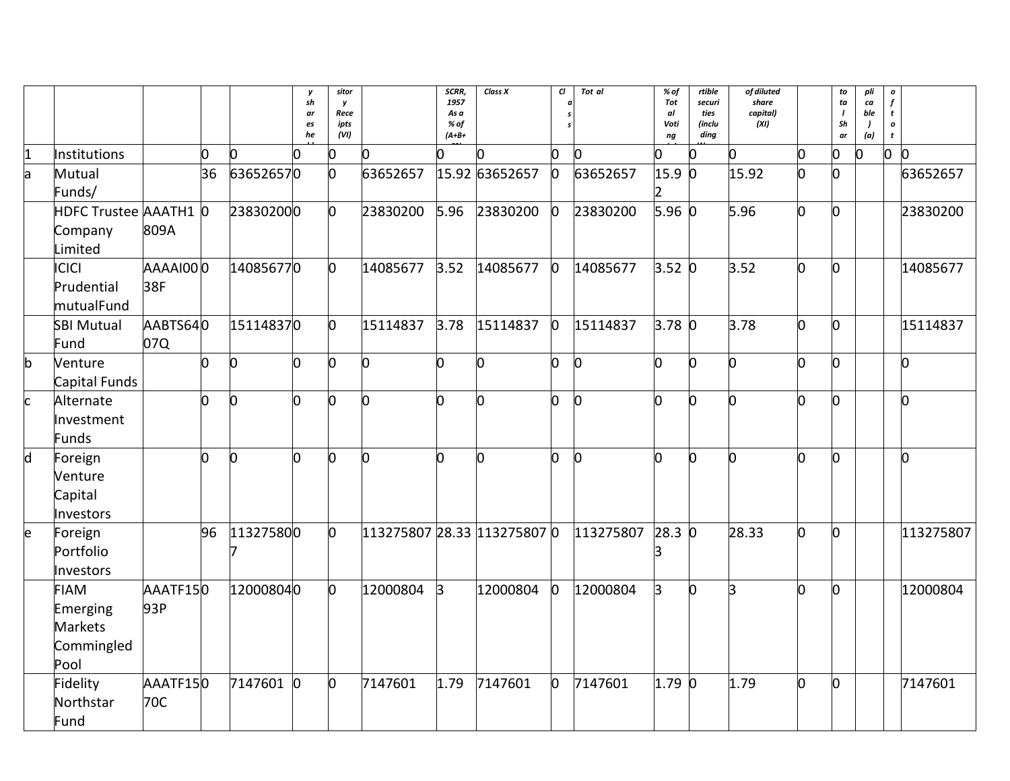|              |                                                                 |                 |    |                | y<br>sh<br>ar | sitor<br>y<br>Rece |                             | SCRR,<br>1957<br>As a | Class X        | CI.          | Tot al       | % of<br>Tot<br>al | rtible<br>securi<br>ties | of diluted<br>share<br>capital) |    | to<br>ta | pli<br>$\boldsymbol{c}\boldsymbol{a}$<br>ble | $\pmb{o}$<br>$\mathbf f$<br>t    |
|--------------|-----------------------------------------------------------------|-----------------|----|----------------|---------------|--------------------|-----------------------------|-----------------------|----------------|--------------|--------------|-------------------|--------------------------|---------------------------------|----|----------|----------------------------------------------|----------------------------------|
|              |                                                                 |                 |    |                | es<br>he      | ipts<br>(VI)       |                             | % of<br>$(A+B+$       |                |              |              | Voti<br>ng        | (inclu<br>ding           | (XI)                            |    | Sh<br>ar | $\lambda$<br>(a)                             | $\boldsymbol{o}$<br>$\mathbf{t}$ |
| 1            | Institutions                                                    |                 | 0  | O              | N.            | Ю                  | 0                           | n                     |                | 0            | n            |                   | n                        | ∩                               | n. | 0        | O                                            | $\mathsf{D}$<br>l0               |
| a            | Mutual<br>Funds/                                                |                 | 36 | 636526570      |               | 0                  | 63652657                    |                       | 15.92 63652657 | $\bf{0}$     | 63652657     | 15.9<br>2         | $\bf{0}$                 | 15.92                           | n. | n        |                                              | 63652657                         |
|              | HDFC Trustee AAATH1 0<br>Company<br>Limited                     | 809A            |    | 238302000      |               | O                  | 23830200                    | 5.96                  | 23830200       | $\mathbf{0}$ | 23830200     | $5.96$ 0          |                          | 5.96                            | O. | n        |                                              | 23830200                         |
|              | <b>ICICI</b><br>Prudential<br>mutualFund                        | 0OIAAAAA<br>38F |    | 140856770      |               | 0                  | 14085677                    | 3.52                  | 14085677       | $\mathbf{0}$ | 14085677     | 3.52 0            |                          | 3.52                            | O. | h        |                                              | 14085677                         |
|              | <b>SBI Mutual</b><br>Fund                                       | AABTS640<br>07Q |    | 151148370      |               | 0                  | 15114837                    | 3.78                  | 15114837       | $\mathbf{0}$ | 15114837     | $3.78$ 0          |                          | 3.78                            | n. | n        |                                              | 15114837                         |
| $\mathsf{b}$ | Venture<br>Capital Funds                                        |                 | 0  | $\overline{0}$ | n             | l0                 | O                           | Ю                     | l0             | n            | n            | n                 | n                        | U                               | n. | n        |                                              | l0                               |
| <sub>c</sub> | Alternate<br>Investment<br>Funds                                |                 | n  | 0              | 0             | l0                 | 0                           | 0                     | l0             | 0            | <sub>0</sub> | n                 | <sub>0</sub>             | n                               | n. | n        |                                              | O.                               |
| $\mathsf{d}$ | Foreign<br>Venture<br>Capital<br>Investors                      |                 |    | n              | n             | n                  | n                           | Ŋ                     | n              | n            | n            |                   | n                        | U                               | n  | n        |                                              | ln.                              |
| e            | Foreign<br>Portfolio<br>Investors                               |                 | 96 | 113275800      |               | O                  | 113275807 28.33 113275807 0 |                       |                |              | 113275807    | $28.3 \; 0$       |                          | 28.33                           | O. | 0        |                                              | 113275807                        |
|              | <b>FIAM</b><br>Emerging<br><b>Markets</b><br>Commingled<br>Pool | AAATF150<br>93P |    | 120008040      |               | O.                 | 12000804                    | $\mathsf B$           | 12000804       | b            | 12000804     | B.                | 0                        | B.                              | n  | n        |                                              | 12000804                         |
|              | Fidelity<br>Northstar<br>Fund                                   | AAATF150<br>70C |    | 7147601 0      |               | 0                  | 7147601                     | 1.79                  | 7147601        | 0            | 7147601      | $1.79$ 0          |                          | 1.79                            | 0  | 0        |                                              | 7147601                          |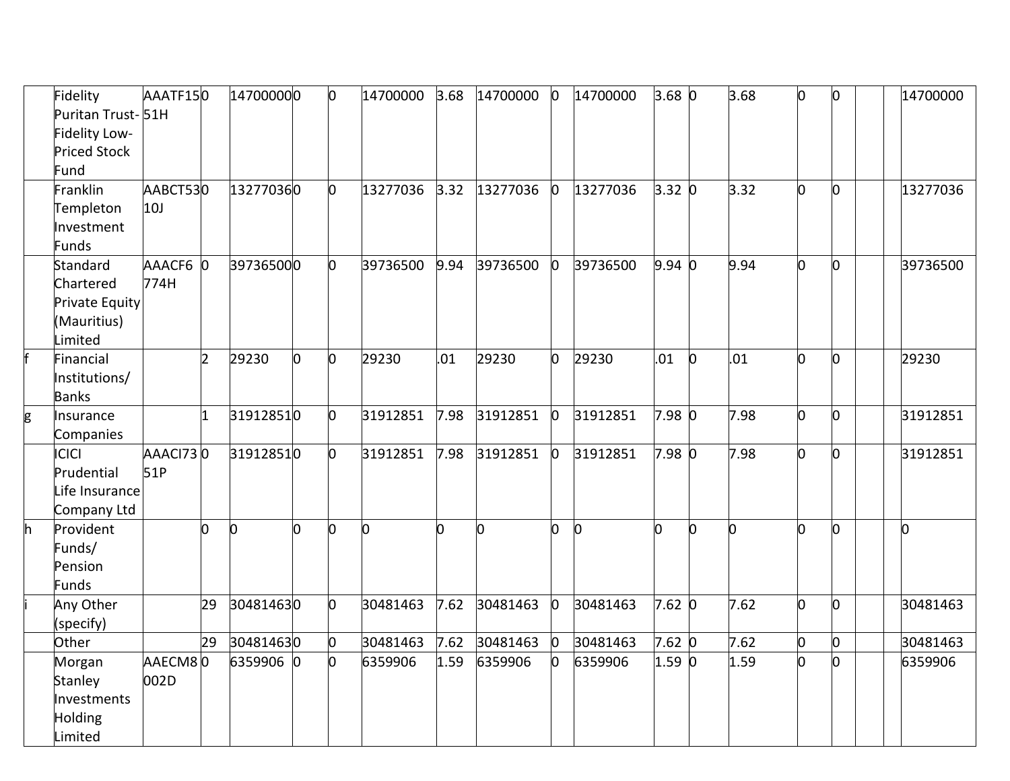|    | Fidelity<br>Puritan Trust-51H | AAATF150 |                | 147000000 |   | $\overline{0}$ | 14700000 | 3.68 | 14700000 | $\mathbf{0}$ | 14700000 | $3.68$ 0    |          | 3.68 | O  | 0 | 14700000 |
|----|-------------------------------|----------|----------------|-----------|---|----------------|----------|------|----------|--------------|----------|-------------|----------|------|----|---|----------|
|    | Fidelity Low-                 |          |                |           |   |                |          |      |          |              |          |             |          |      |    |   |          |
|    | <b>Priced Stock</b>           |          |                |           |   |                |          |      |          |              |          |             |          |      |    |   |          |
|    | Fund                          |          |                |           |   |                |          |      |          |              |          |             |          |      |    |   |          |
|    | Franklin                      | AABCT530 |                | 132770360 |   | $\overline{0}$ | 13277036 | 3.32 | 13277036 | $\bf{0}$     | 13277036 | 3.32 0      |          | 3.32 | n  | n | 13277036 |
|    | Templeton                     | 10J      |                |           |   |                |          |      |          |              |          |             |          |      |    |   |          |
|    | Investment                    |          |                |           |   |                |          |      |          |              |          |             |          |      |    |   |          |
|    | Funds                         |          |                |           |   |                |          |      |          |              |          |             |          |      |    |   |          |
|    | Standard                      | AAACF6 0 |                | 397365000 |   | 0              | 39736500 | 9.94 | 39736500 | O            | 39736500 | $9.94\,0$   |          | 9.94 | n. | 0 | 39736500 |
|    | Chartered                     | 774H     |                |           |   |                |          |      |          |              |          |             |          |      |    |   |          |
|    | Private Equity                |          |                |           |   |                |          |      |          |              |          |             |          |      |    |   |          |
|    | (Mauritius)                   |          |                |           |   |                |          |      |          |              |          |             |          |      |    |   |          |
|    | Limited                       |          |                |           |   |                |          |      |          |              |          |             |          |      |    |   |          |
|    | Financial                     |          | $\overline{2}$ | 29230     | 0 | $\overline{0}$ | 29230    | .01  | 29230    | n            | 29230    | .01         | $\Omega$ | .01  | 0  | n | 29230    |
|    | Institutions/                 |          |                |           |   |                |          |      |          |              |          |             |          |      |    |   |          |
|    | <b>Banks</b>                  |          |                |           |   |                |          |      |          |              |          |             |          |      |    |   |          |
| g  | Insurance                     |          | $\overline{1}$ | 319128510 |   | $\overline{0}$ | 31912851 | 7.98 | 31912851 | $\bf{0}$     | 31912851 | 7.98 0      |          | 7.98 | O. | 0 | 31912851 |
|    | Companies                     |          |                |           |   |                |          |      |          |              |          |             |          |      |    |   |          |
|    | <b>ICICI</b>                  | AAACI730 |                | 319128510 |   | $\overline{0}$ | 31912851 | 7.98 | 31912851 | $\Omega$     | 31912851 | 7.98 0      |          | 7.98 | 0  | n | 31912851 |
|    | Prudential                    | 51P      |                |           |   |                |          |      |          |              |          |             |          |      |    |   |          |
|    | Life Insurance                |          |                |           |   |                |          |      |          |              |          |             |          |      |    |   |          |
|    | Company Ltd                   |          |                |           |   |                |          |      |          |              |          |             |          |      |    |   |          |
| h. | Provident                     |          | O.             | l0        | n | n              | 0        | n    | 0        | n            | b        |             | n.       | n    | n  | n | n        |
|    | Funds/                        |          |                |           |   |                |          |      |          |              |          |             |          |      |    |   |          |
|    | Pension                       |          |                |           |   |                |          |      |          |              |          |             |          |      |    |   |          |
|    | Funds                         |          | 29             |           |   |                |          |      |          |              |          |             |          | 7.62 |    |   |          |
|    | Any Other                     |          |                | 304814630 |   | O              | 30481463 | 7.62 | 30481463 | <sup>0</sup> | 30481463 | $7.62 \, 0$ |          |      | O. | 0 | 30481463 |
|    | (specify)<br>Other            |          | 29             | 304814630 |   | $\overline{0}$ | 30481463 | 7.62 | 30481463 | $\bf{0}$     | 30481463 | 7.62 0      |          | 7.62 | 0  | O | 30481463 |
|    | Morgan                        | AAECM80  |                | 6359906 0 |   | O.             | 6359906  | 1.59 | 6359906  |              | 6359906  | 1.59 0      |          | 1.59 |    |   | 6359906  |
|    |                               | 002D     |                |           |   |                |          |      |          |              |          |             |          |      |    |   |          |
|    | Stanley<br>Investments        |          |                |           |   |                |          |      |          |              |          |             |          |      |    |   |          |
|    | Holding                       |          |                |           |   |                |          |      |          |              |          |             |          |      |    |   |          |
|    | Limited                       |          |                |           |   |                |          |      |          |              |          |             |          |      |    |   |          |
|    |                               |          |                |           |   |                |          |      |          |              |          |             |          |      |    |   |          |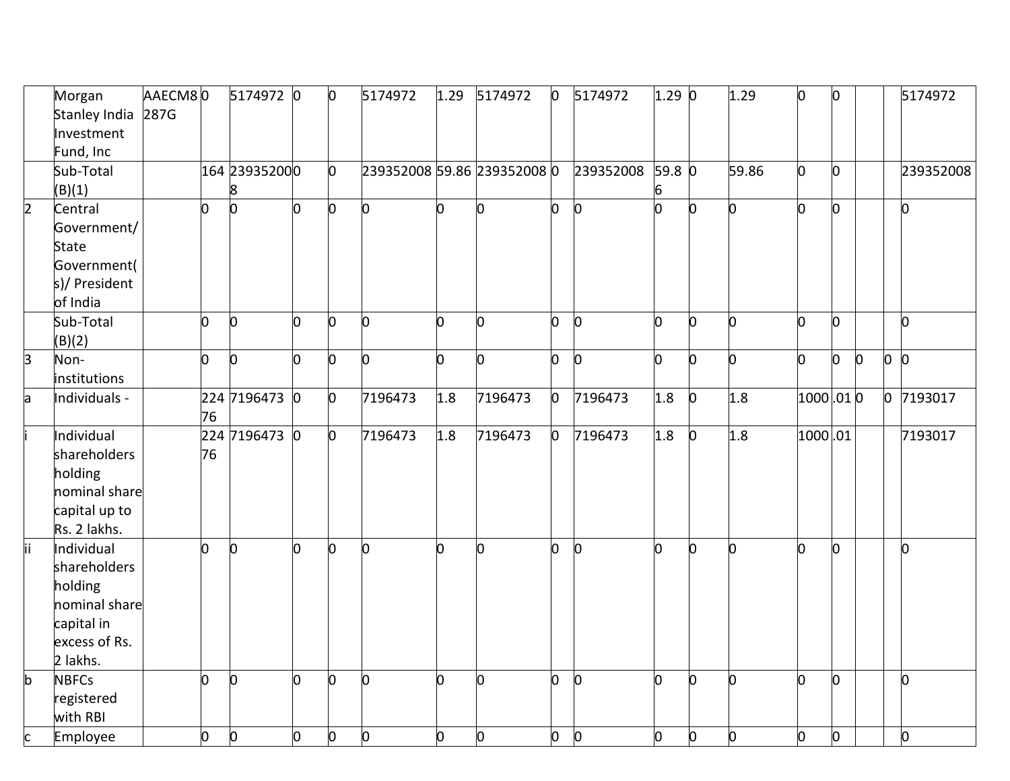|                         | Morgan        | AAECM80 |                | 5174972 0      |    | $\mathsf{I}^{\mathsf{O}}$ | 5174972        | 1.29 | 5174972                     | $\mathsf{D}$ | 5174972      | 1.290  |              | 1.29  | n            | l0  |                |              | 5174972   |
|-------------------------|---------------|---------|----------------|----------------|----|---------------------------|----------------|------|-----------------------------|--------------|--------------|--------|--------------|-------|--------------|-----|----------------|--------------|-----------|
|                         | Stanley India | 287G    |                |                |    |                           |                |      |                             |              |              |        |              |       |              |     |                |              |           |
|                         | Investment    |         |                |                |    |                           |                |      |                             |              |              |        |              |       |              |     |                |              |           |
|                         | Fund, Inc     |         |                |                |    |                           |                |      |                             |              |              |        |              |       |              |     |                |              |           |
|                         | Sub-Total     |         |                | 164 239352000  |    | $\overline{0}$            |                |      | 239352008 59.86 239352008 0 |              | 239352008    | 59.8 0 |              | 59.86 | 0            | lo. |                |              | 239352008 |
|                         | (B)(1)        |         |                | 8              |    |                           |                |      |                             |              |              |        |              |       |              |     |                |              |           |
| $\overline{\mathbf{2}}$ | Central       |         | $\overline{0}$ | $\overline{0}$ | lo | $\overline{0}$            | 0              | n    | 0                           | n            | 0            | n      | h            | O     | 0            | h   |                |              | o         |
|                         | Government/   |         |                |                |    |                           |                |      |                             |              |              |        |              |       |              |     |                |              |           |
|                         | State         |         |                |                |    |                           |                |      |                             |              |              |        |              |       |              |     |                |              |           |
|                         | Government(   |         |                |                |    |                           |                |      |                             |              |              |        |              |       |              |     |                |              |           |
|                         | s)/ President |         |                |                |    |                           |                |      |                             |              |              |        |              |       |              |     |                |              |           |
|                         | of India      |         |                |                |    |                           |                |      |                             |              |              |        |              |       |              |     |                |              |           |
|                         | Sub-Total     |         | lO.            | Ю              | l0 | ln.                       | ln.            | n    | O.                          | n            | <sub>0</sub> | n      | <sub>n</sub> | n     | n            | n   |                |              | $\Omega$  |
|                         | (B)(2)        |         |                |                |    |                           |                |      |                             |              |              |        |              |       |              |     |                |              |           |
| 3                       | Non-          |         | 0              | lo.            | b  | <sup>o</sup>              | h              | n    | O.                          | n            | b.           | O.     | n            | 0     | 0            | 0   | $\overline{0}$ | lo.          | $\Omega$  |
|                         | institutions  |         |                |                |    |                           |                |      |                             |              |              |        |              |       |              |     |                |              |           |
| a                       | Individuals - |         |                | 224 7196473 0  |    | $\overline{0}$            | 7196473        | 1.8  | 7196473                     | 0            | 7196473      | 1.8    | $\mathsf{D}$ | 1.8   | $1000$ .01 0 |     |                | $\mathsf{D}$ | 7193017   |
|                         |               |         | 76             |                |    |                           |                |      |                             |              |              |        |              |       |              |     |                |              |           |
|                         | Individual    |         |                | 224 7196473 0  |    | $\overline{0}$            | 7196473        | 1.8  | 7196473                     | n            | 7196473      | 1.8    | $\Omega$     | 1.8   | 1000.01      |     |                |              | 7193017   |
|                         | shareholders  |         | 76             |                |    |                           |                |      |                             |              |              |        |              |       |              |     |                |              |           |
|                         | holding       |         |                |                |    |                           |                |      |                             |              |              |        |              |       |              |     |                |              |           |
|                         | nominal share |         |                |                |    |                           |                |      |                             |              |              |        |              |       |              |     |                |              |           |
|                         | capital up to |         |                |                |    |                           |                |      |                             |              |              |        |              |       |              |     |                |              |           |
|                         | Rs. 2 lakhs.  |         |                |                |    |                           |                |      |                             |              |              |        |              |       |              |     |                |              |           |
| lii                     | Individual    |         | h              | Ю              | O  | l0                        | l0             | n    | 0                           | n            | b            | n      | n            | O     | n            | 0   |                |              | l0        |
|                         | shareholders  |         |                |                |    |                           |                |      |                             |              |              |        |              |       |              |     |                |              |           |
|                         | holding       |         |                |                |    |                           |                |      |                             |              |              |        |              |       |              |     |                |              |           |
|                         | nominal share |         |                |                |    |                           |                |      |                             |              |              |        |              |       |              |     |                |              |           |
|                         | capital in    |         |                |                |    |                           |                |      |                             |              |              |        |              |       |              |     |                |              |           |
|                         | excess of Rs. |         |                |                |    |                           |                |      |                             |              |              |        |              |       |              |     |                |              |           |
|                         | 2 lakhs.      |         |                |                |    |                           |                |      |                             |              |              |        |              |       |              |     |                |              |           |
| b                       | <b>NBFCs</b>  |         | 0              | $\overline{0}$ | l0 | l0                        | $\overline{0}$ | n    | 0                           | n            | 0            | b      | b            | O     | n            | l0  |                |              | O         |
|                         | registered    |         |                |                |    |                           |                |      |                             |              |              |        |              |       |              |     |                |              |           |
|                         | with RBI      |         |                |                |    |                           |                |      |                             |              |              |        |              |       |              |     |                |              |           |
| c                       | Employee      |         | 0              | O              | O  | $\overline{0}$            | 0              | n    | 0                           | O.           | $\mathsf{O}$ | O.     | O.           | b     | 0            | lo. |                |              | O         |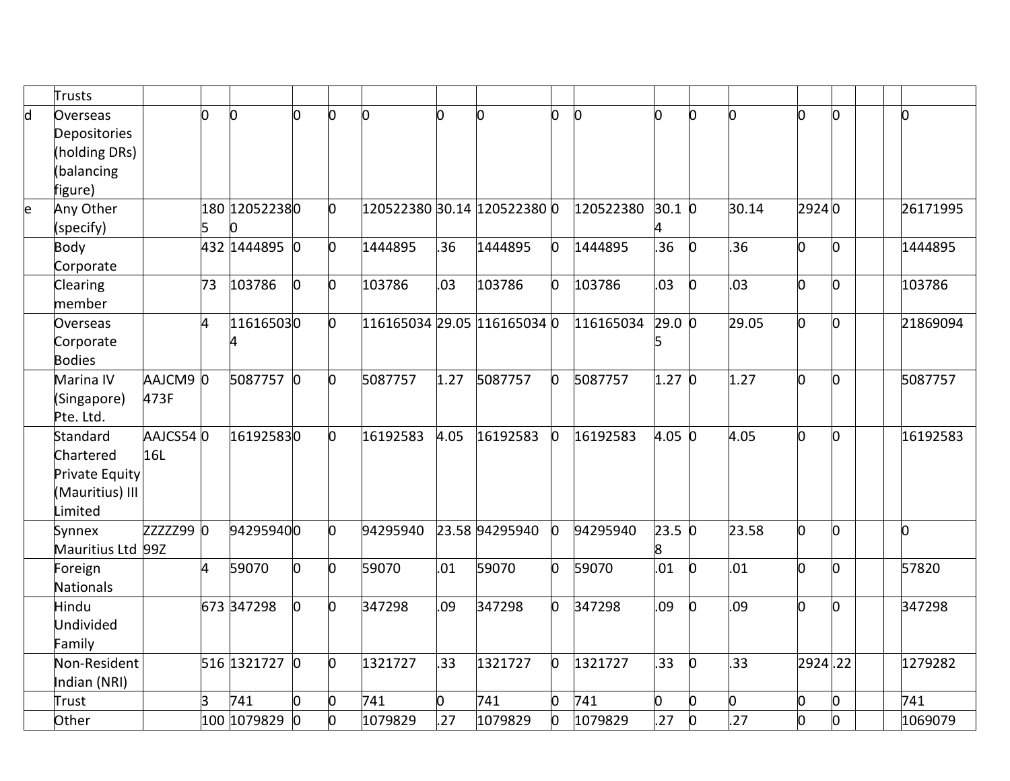|   | <b>Trusts</b>     |             |    |                |   |                |          |      |                             |   |              |            |   |       |         |    |          |
|---|-------------------|-------------|----|----------------|---|----------------|----------|------|-----------------------------|---|--------------|------------|---|-------|---------|----|----------|
| d | Overseas          |             | O  | $\overline{0}$ | n | $\overline{0}$ | n.       |      | O                           | n | $\mathbf{0}$ | O.         | n | b     | U       | n. | l0       |
|   | Depositories      |             |    |                |   |                |          |      |                             |   |              |            |   |       |         |    |          |
|   | (holding DRs)     |             |    |                |   |                |          |      |                             |   |              |            |   |       |         |    |          |
|   | (balancing        |             |    |                |   |                |          |      |                             |   |              |            |   |       |         |    |          |
|   | figure)           |             |    |                |   |                |          |      |                             |   |              |            |   |       |         |    |          |
| e | Any Other         |             |    | 180 120522380  |   | 0              |          |      | 120522380 30.14 120522380 0 |   | 120522380    | $30.1 \ 0$ |   | 30.14 | 29240   |    | 26171995 |
|   | (specify)         |             | 5  | 0              |   |                |          |      |                             |   |              |            |   |       |         |    |          |
|   | Body              |             |    | 432 1444895 0  |   | O.             | 1444895  | 36   | 1444895                     |   | 1444895      | .36        | O | .36   | n       | l0 | 1444895  |
|   | Corporate         |             |    |                |   |                |          |      |                             |   |              |            |   |       |         |    |          |
|   | Clearing          |             | 73 | 103786         | b | $\overline{0}$ | 103786   | 03   | 103786                      |   | 103786       | .03        | n | .03   | 0       | 0  | 103786   |
|   | member            |             |    |                |   |                |          |      |                             |   |              |            |   |       |         |    |          |
|   | Overseas          |             | 4  | 116165030      |   | $\overline{0}$ |          |      | 116165034 29.05 116165034 0 |   | 116165034    | 29.0 0     |   | 29.05 | 0       | O. | 21869094 |
|   | Corporate         |             |    | 4              |   |                |          |      |                             |   |              |            |   |       |         |    |          |
|   | <b>Bodies</b>     |             |    |                |   |                |          |      |                             |   |              |            |   |       |         |    |          |
|   | Marina IV         | AAJCM90     |    | 5087757 0      |   | $\overline{0}$ | 5087757  | 1.27 | 5087757                     |   | 5087757      | 1.27 0     |   | 1.27  | 0       | n  | 5087757  |
|   | (Singapore)       | 473F        |    |                |   |                |          |      |                             |   |              |            |   |       |         |    |          |
|   | Pte. Ltd.         |             |    |                |   |                |          |      |                             |   |              |            |   |       |         |    |          |
|   | Standard          | AAJCS540    |    | 161925830      |   | $\overline{0}$ | 16192583 | 4.05 | 16192583                    |   | 16192583     | 4.05 0     |   | 4.05  | n       | n. | 16192583 |
|   | Chartered         | 16L         |    |                |   |                |          |      |                             |   |              |            |   |       |         |    |          |
|   | Private Equity    |             |    |                |   |                |          |      |                             |   |              |            |   |       |         |    |          |
|   | (Mauritius) III   |             |    |                |   |                |          |      |                             |   |              |            |   |       |         |    |          |
|   | Limited           |             |    |                |   |                |          |      |                             |   |              |            |   |       |         |    |          |
|   | Synnex            | $zzzz299$ 0 |    | 942959400      |   | $\overline{0}$ | 94295940 |      | 23.58 94295940              |   | 94295940     | 23.5 0     |   | 23.58 | 0       | O. | O        |
|   | Mauritius Ltd 99Z |             |    |                |   |                |          |      |                             |   |              |            |   |       |         |    |          |
|   | Foreign           |             | 4  | 59070          | 0 | $\overline{0}$ | 59070    | .01  | 59070                       |   | 59070        | .01        | 0 | .01   | n       | O  | 57820    |
|   | Nationals         |             |    |                |   |                |          |      |                             |   |              |            |   |       |         |    |          |
|   | Hindu             |             |    | 673 347298     | 0 | $\overline{0}$ | 347298   | .09  | 347298                      | n | 347298       | .09        | n | .09   | n       | 0  | 347298   |
|   | Undivided         |             |    |                |   |                |          |      |                             |   |              |            |   |       |         |    |          |
|   | Family            |             |    |                |   |                |          |      |                             |   |              |            |   |       |         |    |          |
|   | Non-Resident      |             |    | 516 1321727 0  |   | $\overline{0}$ | 1321727  | 33   | 1321727                     | n | 1321727      | .33        | n | .33   | 2924.22 |    | 1279282  |
|   | Indian (NRI)      |             |    |                |   |                |          |      |                             |   |              |            |   |       |         |    |          |
|   | Trust             |             | 3  | 741            | 0 | 0              | 741      |      | 741                         |   | 741          | 0          | n | 0     | n.      | O. | 741      |
|   | Other             |             |    | 100 1079829 0  |   | O              | 1079829  | 27   | 1079829                     |   | 1079829      | .27        | O | .27   | 0       | 0  | 1069079  |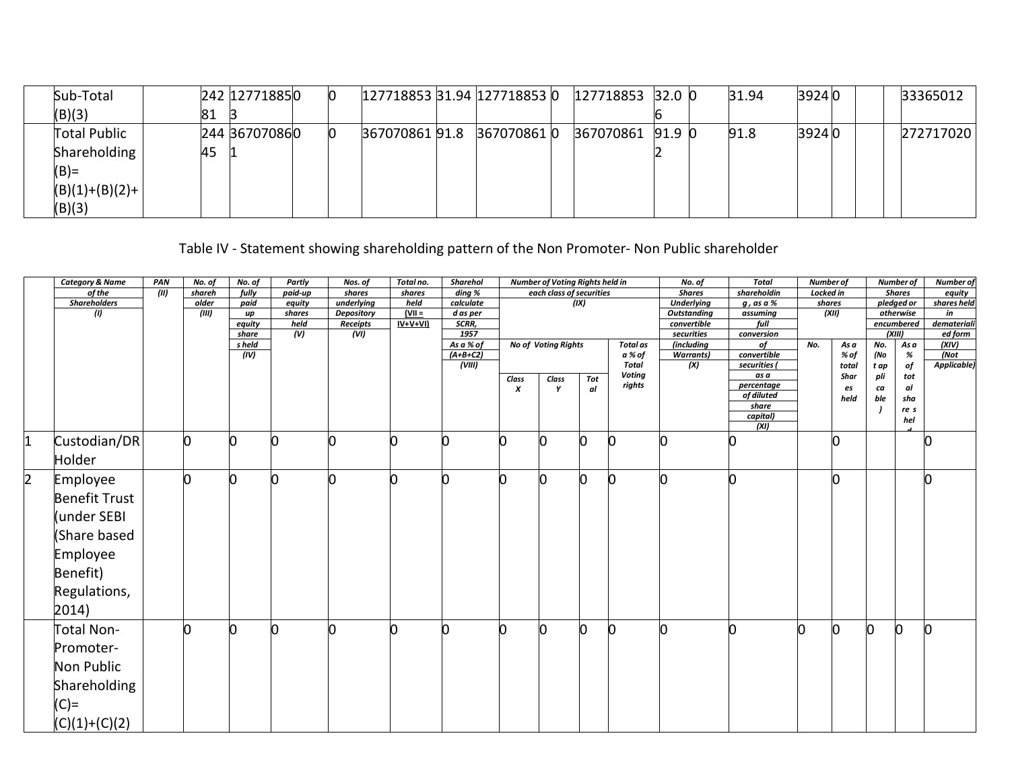| Sub-Total           |    | 242 127718850 | Ю |  | 127718853 31.94 127718853 0 | 127718853 32.0 0 |  | 31.94 | 39240 |  | 33365012  |
|---------------------|----|---------------|---|--|-----------------------------|------------------|--|-------|-------|--|-----------|
| (B)(3)              | 81 |               |   |  |                             |                  |  |       |       |  |           |
| <b>Total Public</b> |    | 244 367070860 | n |  | 367070861 91.8 367070861 0  | 367070861 91.9 0 |  | 91.8  | 39240 |  | 272717020 |
| Shareholding        | 45 |               |   |  |                             |                  |  |       |       |  |           |
| $(B) =$             |    |               |   |  |                             |                  |  |       |       |  |           |
| $(B)(1)+(B)(2)+$    |    |               |   |  |                             |                  |  |       |       |  |           |
| (B)(3)              |    |               |   |  |                             |                  |  |       |       |  |           |

# Table IV - Statement showing shareholding pattern of the Non Promoter- Non Public shareholder

|                | <b>Category &amp; Name</b> | PAN   | No. of | No. of          | Partly         | Nos. of          | Total no.             | <b>Sharehol</b>   |       | <b>Number of Voting Rights held in</b> |      |                 | No. of                            | Total                    | Number of |       |      | <b>Number of</b>        | <b>Number</b> of       |
|----------------|----------------------------|-------|--------|-----------------|----------------|------------------|-----------------------|-------------------|-------|----------------------------------------|------|-----------------|-----------------------------------|--------------------------|-----------|-------|------|-------------------------|------------------------|
|                | of the                     | (III) | shareh | fully           | paid-up        | shares           | shares                | ding %            |       | each class of securities               |      |                 | <b>Shares</b>                     | shareholdin              | Locked in |       |      | <b>Shares</b>           | equity                 |
|                | <b>Shareholders</b>        |       | older  | paid            | equity         | underlying       | held                  | calculate         |       |                                        | (IX) |                 | <b>Underlying</b>                 | $g$ , as a $%$           | shares    |       |      | pledged or              | shares held            |
|                | (1)                        |       | (III)  | up              | shares<br>held | Depository       | $ V   =$<br>$IV+V+VI$ | d as per<br>SCRR, |       |                                        |      |                 | <b>Outstanding</b><br>convertible | assuming<br>full         |           | (XII) |      | otherwise<br>encumbered | in                     |
|                |                            |       |        | equity<br>share | (V)            | Receipts<br>(VI) |                       | 1957              |       |                                        |      |                 | securities                        | conversion               |           |       |      | (XIII)                  | demateriali<br>ed form |
|                |                            |       |        | s held          |                |                  |                       | As a % of         |       | No of Voting Rights                    |      | <b>Total</b> as | (including                        | of                       | No.       | As a  | No.  | As a                    | (XIV)                  |
|                |                            |       |        | (IV)            |                |                  |                       | $(A+B+C2)$        |       |                                        |      | a % of          | <b>Warrants)</b>                  | convertible              |           | % of  | (No  | %                       | (Not                   |
|                |                            |       |        |                 |                |                  |                       | (VIII)            |       |                                        |      | <b>Total</b>    | (X)                               | securities (             |           | total | t ap | of                      | Applicable)            |
|                |                            |       |        |                 |                |                  |                       |                   | Class | Class                                  | Tot  | <b>Voting</b>   |                                   | as a                     |           | Shar  | pli  | tot                     |                        |
|                |                            |       |        |                 |                |                  |                       |                   | x     | Y                                      | al   | rights          |                                   | percentage<br>of diluted |           | es    | ca   | al                      |                        |
|                |                            |       |        |                 |                |                  |                       |                   |       |                                        |      |                 |                                   | share                    |           | held  | ble  | sha                     |                        |
|                |                            |       |        |                 |                |                  |                       |                   |       |                                        |      |                 |                                   | capital)                 |           |       |      | re s                    |                        |
|                |                            |       |        |                 |                |                  |                       |                   |       |                                        |      |                 |                                   | (XI)                     |           |       |      | hel                     |                        |
| $\vert$ 1      | Custodian/DR               |       | l0     |                 | ∩              | n                |                       |                   |       |                                        |      |                 |                                   |                          |           | O     |      |                         |                        |
|                | Holder                     |       |        |                 |                |                  |                       |                   |       |                                        |      |                 |                                   |                          |           |       |      |                         |                        |
| $\overline{2}$ | Employee                   |       |        |                 |                | ሰ                |                       |                   |       |                                        |      |                 |                                   |                          |           | b     |      |                         |                        |
|                | <b>Benefit Trust</b>       |       |        |                 |                |                  |                       |                   |       |                                        |      |                 |                                   |                          |           |       |      |                         |                        |
|                | (under SEBI                |       |        |                 |                |                  |                       |                   |       |                                        |      |                 |                                   |                          |           |       |      |                         |                        |
|                | (Share based               |       |        |                 |                |                  |                       |                   |       |                                        |      |                 |                                   |                          |           |       |      |                         |                        |
|                | Employee                   |       |        |                 |                |                  |                       |                   |       |                                        |      |                 |                                   |                          |           |       |      |                         |                        |
|                | Benefit)                   |       |        |                 |                |                  |                       |                   |       |                                        |      |                 |                                   |                          |           |       |      |                         |                        |
|                | Regulations,               |       |        |                 |                |                  |                       |                   |       |                                        |      |                 |                                   |                          |           |       |      |                         |                        |
|                | 2014)                      |       |        |                 |                |                  |                       |                   |       |                                        |      |                 |                                   |                          |           |       |      |                         |                        |
|                | Total Non-                 |       | Ŋ      | l0              | n              | n                |                       |                   |       | n                                      | n    | n               |                                   | n                        | n         | l0    | O    | n                       | IO                     |
|                | Promoter-                  |       |        |                 |                |                  |                       |                   |       |                                        |      |                 |                                   |                          |           |       |      |                         |                        |
|                | Non Public                 |       |        |                 |                |                  |                       |                   |       |                                        |      |                 |                                   |                          |           |       |      |                         |                        |
|                | Shareholding               |       |        |                 |                |                  |                       |                   |       |                                        |      |                 |                                   |                          |           |       |      |                         |                        |
|                | $(C)$ =                    |       |        |                 |                |                  |                       |                   |       |                                        |      |                 |                                   |                          |           |       |      |                         |                        |
|                | $(C)(1)+(C)(2)$            |       |        |                 |                |                  |                       |                   |       |                                        |      |                 |                                   |                          |           |       |      |                         |                        |